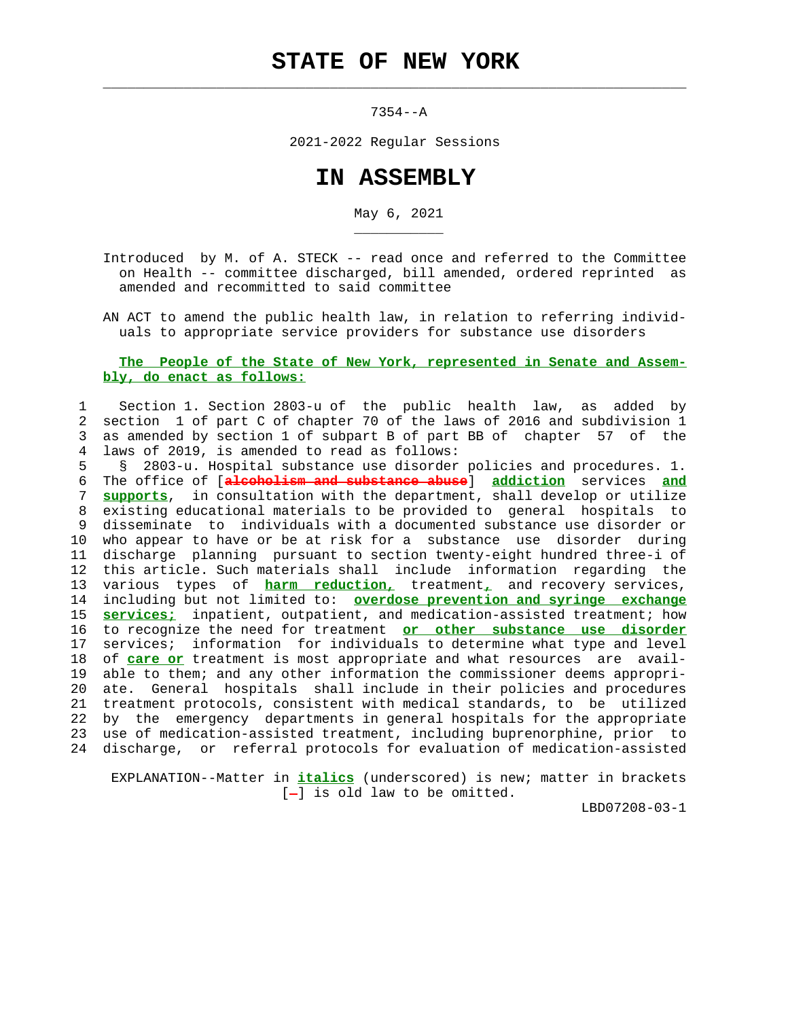$\mathcal{L}_\text{max} = \frac{1}{2} \sum_{i=1}^{n} \frac{1}{2} \sum_{i=1}^{n} \frac{1}{2} \sum_{i=1}^{n} \frac{1}{2} \sum_{i=1}^{n} \frac{1}{2} \sum_{i=1}^{n} \frac{1}{2} \sum_{i=1}^{n} \frac{1}{2} \sum_{i=1}^{n} \frac{1}{2} \sum_{i=1}^{n} \frac{1}{2} \sum_{i=1}^{n} \frac{1}{2} \sum_{i=1}^{n} \frac{1}{2} \sum_{i=1}^{n} \frac{1}{2} \sum_{i=1}^{n} \frac{1$ 

\_\_\_\_\_\_\_\_\_\_\_

7354--A

2021-2022 Regular Sessions

## **IN ASSEMBLY**

May 6, 2021

 Introduced by M. of A. STECK -- read once and referred to the Committee on Health -- committee discharged, bill amended, ordered reprinted as amended and recommitted to said committee

 AN ACT to amend the public health law, in relation to referring individ uals to appropriate service providers for substance use disorders

## **The People of the State of New York, represented in Senate and Assem bly, do enact as follows:**

 1 Section 1. Section 2803-u of the public health law, as added by 2 section 1 of part C of chapter 70 of the laws of 2016 and subdivision 1 3 as amended by section 1 of subpart B of part BB of chapter 57 of the 4 laws of 2019, is amended to read as follows:

 5 § 2803-u. Hospital substance use disorder policies and procedures. 1. 6 The office of [**alcoholism and substance abuse**] **addiction** services **and** 7 **supports**, in consultation with the department, shall develop or utilize 8 existing educational materials to be provided to general hospitals to 9 disseminate to individuals with a documented substance use disorder or 10 who appear to have or be at risk for a substance use disorder during 11 discharge planning pursuant to section twenty-eight hundred three-i of 12 this article. Such materials shall include information regarding the 13 various types of **harm reduction,** treatment**,** and recovery services, 14 including but not limited to: **overdose prevention and syringe exchange** 15 **services;** inpatient, outpatient, and medication-assisted treatment; how 16 to recognize the need for treatment **or other substance use disorder** 17 services; information for individuals to determine what type and level 18 of **care or** treatment is most appropriate and what resources are avail- 19 able to them; and any other information the commissioner deems appropri- 20 ate. General hospitals shall include in their policies and procedures 21 treatment protocols, consistent with medical standards, to be utilized 22 by the emergency departments in general hospitals for the appropriate 23 use of medication-assisted treatment, including buprenorphine, prior to 24 discharge, or referral protocols for evaluation of medication-assisted

 EXPLANATION--Matter in **italics** (underscored) is new; matter in brackets  $[-]$  is old law to be omitted.

LBD07208-03-1